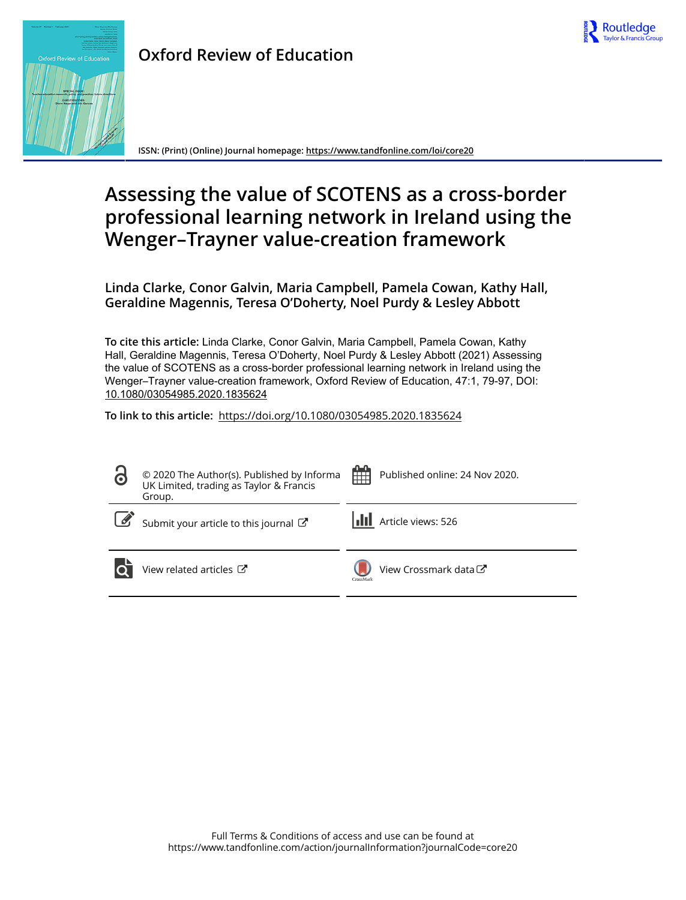



**ISSN: (Print) (Online) Journal homepage:<https://www.tandfonline.com/loi/core20>**

# **Assessing the value of SCOTENS as a cross-border professional learning network in Ireland using the Wenger–Trayner value-creation framework**

**Linda Clarke, Conor Galvin, Maria Campbell, Pamela Cowan, Kathy Hall, Geraldine Magennis, Teresa O'Doherty, Noel Purdy & Lesley Abbott**

**To cite this article:** Linda Clarke, Conor Galvin, Maria Campbell, Pamela Cowan, Kathy Hall, Geraldine Magennis, Teresa O'Doherty, Noel Purdy & Lesley Abbott (2021) Assessing the value of SCOTENS as a cross-border professional learning network in Ireland using the Wenger–Trayner value-creation framework, Oxford Review of Education, 47:1, 79-97, DOI: [10.1080/03054985.2020.1835624](https://www.tandfonline.com/action/showCitFormats?doi=10.1080/03054985.2020.1835624)

**To link to this article:** <https://doi.org/10.1080/03054985.2020.1835624>

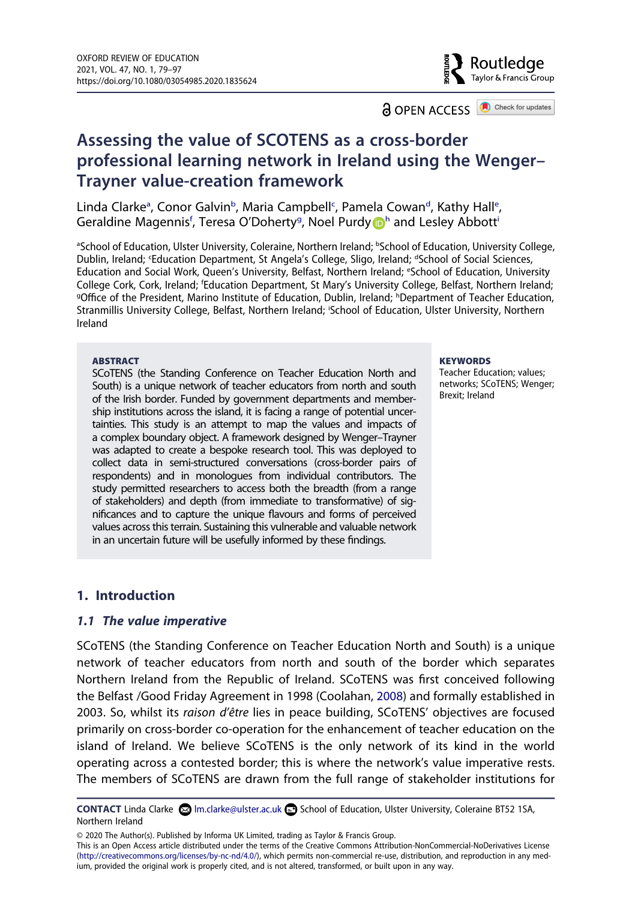

**a** OPEN ACCESS **a** Check for updates

# **Assessing the value of SCOTENS as a cross-border professional learning network in Ireland using the Wenger– Trayner value-creation framework**

Linda Clarke<sup>a</sup>, Conor Galvin<sup>b</sup>, Maria Campbell<sup>[c](#page-1-1)</sup>, Pamela Cowan<sup>[d](#page-1-1)</sup>, Kathy Hall<sup>e</sup>, Geraldine Ma[g](#page-1-4)ennis<sup>f</sup>, Teresa O'Doherty<sup>g</sup>, Noel Purdy **D**<sup>h</sup> and Lesley Abbott<sup>i</sup>

<span id="page-1-4"></span><span id="page-1-3"></span><span id="page-1-2"></span><span id="page-1-1"></span><span id="page-1-0"></span>aSchool of Education, Ulster University, Coleraine, Northern Ireland; <sup>b</sup>School of Education, University College, Dublin, Ireland; 'Education Department, St Angela's College, Sligo, Ireland; <sup>d</sup>School of Social Sciences, Education and Social Work, Queen's University, Belfast, Northern Ireland; <sup>e</sup>School of Education, University College Cork, Cork, Ireland; <sup>f</sup>Education Department, St Mary's University College, Belfast, Northern Ireland;<br><sup>g</sup>Office of the President Marino Institute of Education, Dublin, Ireland: hDepartment of Teacher Education Office of the President, Marino Institute of Education, Dublin, Ireland; <sup>h</sup>Department of Teacher Education, Stranmillis University College, Belfast, Northern Ireland; i School of Education, Ulster University, Northern Ireland

#### <span id="page-1-5"></span>**ABSTRACT**

SCoTENS (the Standing Conference on Teacher Education North and South) is a unique network of teacher educators from north and south of the Irish border. Funded by government departments and membership institutions across the island, it is facing a range of potential uncertainties. This study is an attempt to map the values and impacts of a complex boundary object. A framework designed by Wenger–Trayner was adapted to create a bespoke research tool. This was deployed to collect data in semi-structured conversations (cross-border pairs of respondents) and in monologues from individual contributors. The study permitted researchers to access both the breadth (from a range of stakeholders) and depth (from immediate to transformative) of significances and to capture the unique flavours and forms of perceived values across this terrain. Sustaining this vulnerable and valuable network in an uncertain future will be usefully informed by these findings.

#### **KEYWORDS**

Teacher Education; values; networks; SCoTENS; Wenger; Brexit; Ireland

# **1. Introduction**

#### *1.1 The value imperative*

<span id="page-1-6"></span>SCoTENS (the Standing Conference on Teacher Education North and South) is a unique network of teacher educators from north and south of the border which separates Northern Ireland from the Republic of Ireland. SCoTENS was first conceived following the Belfast /Good Friday Agreement in 1998 (Coolahan, [2008\)](#page-18-0) and formally established in 2003. So, whilst its *raison d'être* lies in peace building, SCoTENS' objectives are focused primarily on cross-border co-operation for the enhancement of teacher education on the island of Ireland. We believe SCoTENS is the only network of its kind in the world operating across a contested border; this is where the network's value imperative rests. The members of SCoTENS are drawn from the full range of stakeholder institutions for

**CONTACT** Linda Clarke 2 Im.clarke@ulster.ac.uk **South Act Education, Ulster University, Coleraine BT52 1SA,** Northern Ireland

© 2020 The Author(s). Published by Informa UK Limited, trading as Taylor & Francis Group.

This is an Open Access article distributed under the terms of the Creative Commons Attribution-NonCommercial-NoDerivatives License (http://creativecommons.org/licenses/by-nc-nd/4.0/), which permits non-commercial re-use, distribution, and reproduction in any medium, provided the original work is properly cited, and is not altered, transformed, or built upon in any way.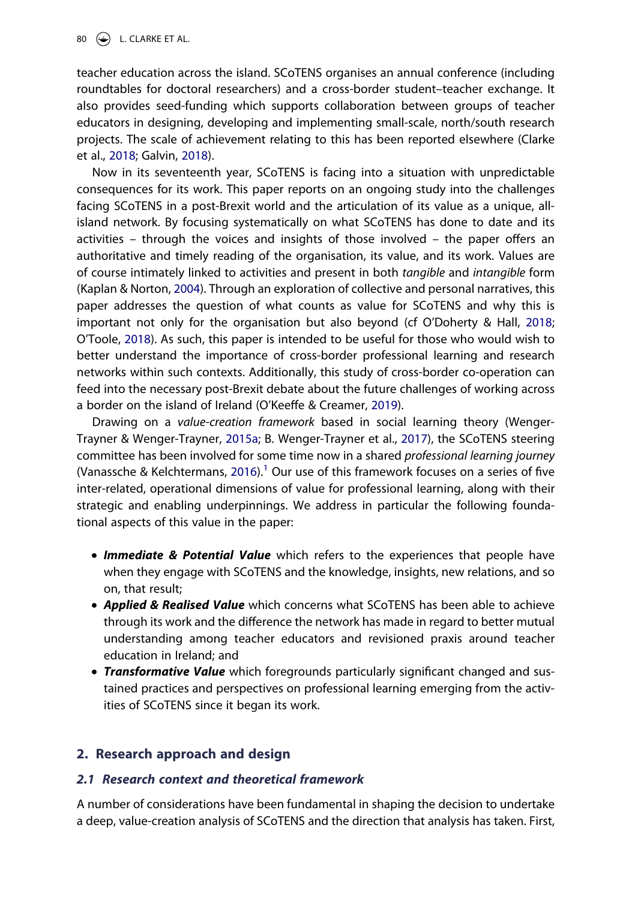80  $\left(\bigcirc\right)$  L. CLARKE ET AL.

teacher education across the island. SCoTENS organises an annual conference (including roundtables for doctoral researchers) and a cross-border student–teacher exchange. It also provides seed-funding which supports collaboration between groups of teacher educators in designing, developing and implementing small-scale, north/south research projects. The scale of achievement relating to this has been reported elsewhere (Clarke et al., [2018;](#page-18-1) Galvin, [2018](#page-18-2)).

<span id="page-2-1"></span><span id="page-2-0"></span>Now in its seventeenth year, SCoTENS is facing into a situation with unpredictable consequences for its work. This paper reports on an ongoing study into the challenges facing SCoTENS in a post-Brexit world and the articulation of its value as a unique, allisland network. By focusing systematically on what SCoTENS has done to date and its activities – through the voices and insights of those involved – the paper offers an authoritative and timely reading of the organisation, its value, and its work. Values are of course intimately linked to activities and present in both *tangible* and *intangible* form (Kaplan & Norton, [2004](#page-18-3)). Through an exploration of collective and personal narratives, this paper addresses the question of what counts as value for SCoTENS and why this is important not only for the organisation but also beyond (cf O'Doherty & Hall, [2018](#page-18-4); O'Toole, [2018\)](#page-18-5). As such, this paper is intended to be useful for those who would wish to better understand the importance of cross-border professional learning and research networks within such contexts. Additionally, this study of cross-border co-operation can feed into the necessary post-Brexit debate about the future challenges of working across a border on the island of Ireland (O'Keeffe & Creamer, [2019](#page-18-6)).

<span id="page-2-6"></span><span id="page-2-5"></span><span id="page-2-4"></span><span id="page-2-3"></span><span id="page-2-2"></span>Drawing on a *value-creation framework* based in social learning theory (Wenger-Trayner & Wenger-Trayner, [2015a;](#page-19-0) B. Wenger-Trayner et al., [2017\)](#page-19-1), the SCoTENS steering committee has been involved for some time now in a shared *professional learning journey*  (Vanassche & Kelchtermans, [2016\)](#page-18-7).<sup>[1](#page-15-0)</sup> Our use of this framework focuses on a series of five inter-related, operational dimensions of value for professional learning, along with their strategic and enabling underpinnings. We address in particular the following foundational aspects of this value in the paper:

- *Immediate & Potential Value* which refers to the experiences that people have when they engage with SCoTENS and the knowledge, insights, new relations, and so on, that result;
- *Applied & Realised Value* which concerns what SCoTENS has been able to achieve through its work and the difference the network has made in regard to better mutual understanding among teacher educators and revisioned praxis around teacher education in Ireland; and
- *Transformative Value* which foregrounds particularly significant changed and sustained practices and perspectives on professional learning emerging from the activities of SCoTENS since it began its work.

# **2. Research approach and design**

# *2.1 Research context and theoretical framework*

A number of considerations have been fundamental in shaping the decision to undertake a deep, value-creation analysis of SCoTENS and the direction that analysis has taken. First,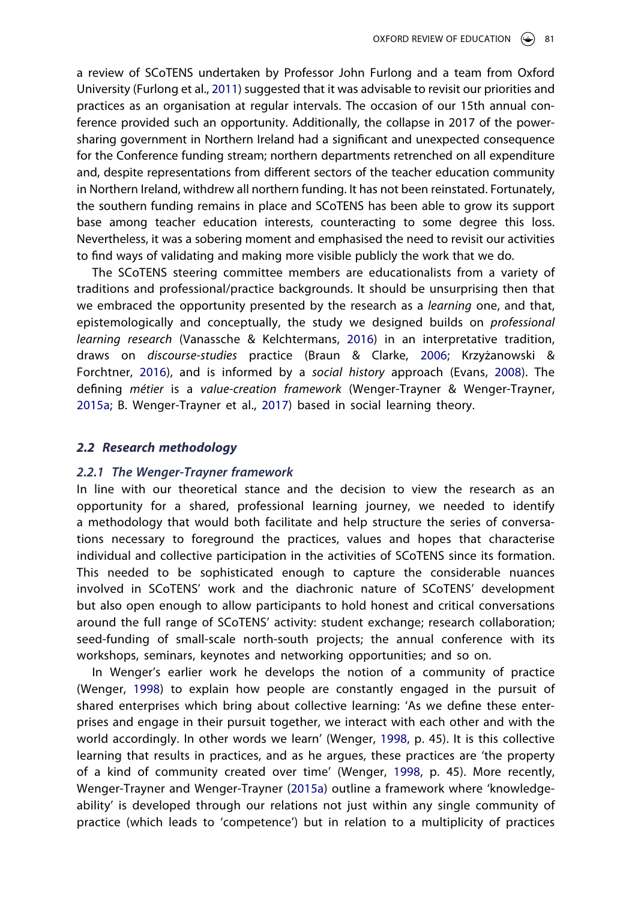<span id="page-3-2"></span>a review of SCoTENS undertaken by Professor John Furlong and a team from Oxford University (Furlong et al., [2011\)](#page-18-8) suggested that it was advisable to revisit our priorities and practices as an organisation at regular intervals. The occasion of our 15th annual conference provided such an opportunity. Additionally, the collapse in 2017 of the powersharing government in Northern Ireland had a significant and unexpected consequence for the Conference funding stream; northern departments retrenched on all expenditure and, despite representations from different sectors of the teacher education community in Northern Ireland, withdrew all northern funding. It has not been reinstated. Fortunately, the southern funding remains in place and SCoTENS has been able to grow its support base among teacher education interests, counteracting to some degree this loss. Nevertheless, it was a sobering moment and emphasised the need to revisit our activities to find ways of validating and making more visible publicly the work that we do.

<span id="page-3-0"></span>The SCoTENS steering committee members are educationalists from a variety of traditions and professional/practice backgrounds. It should be unsurprising then that we embraced the opportunity presented by the research as a *learning* one, and that, epistemologically and conceptually, the study we designed builds on *professional learning research* (Vanassche & Kelchtermans, [2016\)](#page-18-7) in an interpretative tradition, draws on *discourse-studies* practice (Braun & Clarke, [2006](#page-18-9); Krzyżanowski & Forchtner, [2016\)](#page-18-10), and is informed by a *social history* approach (Evans, [2008](#page-18-11)). The defining *métier* is a *value-creation framework* (Wenger-Trayner & Wenger-Trayner, [2015a;](#page-19-0) B. Wenger-Trayner et al., [2017](#page-19-1)) based in social learning theory.

#### <span id="page-3-1"></span>*2.2 Research methodology*

# *2.2.1 The Wenger-Trayner framework*

In line with our theoretical stance and the decision to view the research as an opportunity for a shared, professional learning journey, we needed to identify a methodology that would both facilitate and help structure the series of conversations necessary to foreground the practices, values and hopes that characterise individual and collective participation in the activities of SCoTENS since its formation. This needed to be sophisticated enough to capture the considerable nuances involved in SCoTENS' work and the diachronic nature of SCoTENS' development but also open enough to allow participants to hold honest and critical conversations around the full range of SCoTENS' activity: student exchange; research collaboration; seed-funding of small-scale north-south projects; the annual conference with its workshops, seminars, keynotes and networking opportunities; and so on.

<span id="page-3-3"></span>In Wenger's earlier work he develops the notion of a community of practice (Wenger, [1998\)](#page-19-2) to explain how people are constantly engaged in the pursuit of shared enterprises which bring about collective learning: 'As we define these enterprises and engage in their pursuit together, we interact with each other and with the world accordingly. In other words we learn' (Wenger, [1998,](#page-19-2) p. 45). It is this collective learning that results in practices, and as he argues, these practices are 'the property of a kind of community created over time' (Wenger, [1998](#page-19-2), p. 45). More recently, Wenger-Trayner and Wenger-Trayner [\(2015a\)](#page-19-0) outline a framework where 'knowledgeability' is developed through our relations not just within any single community of practice (which leads to 'competence') but in relation to a multiplicity of practices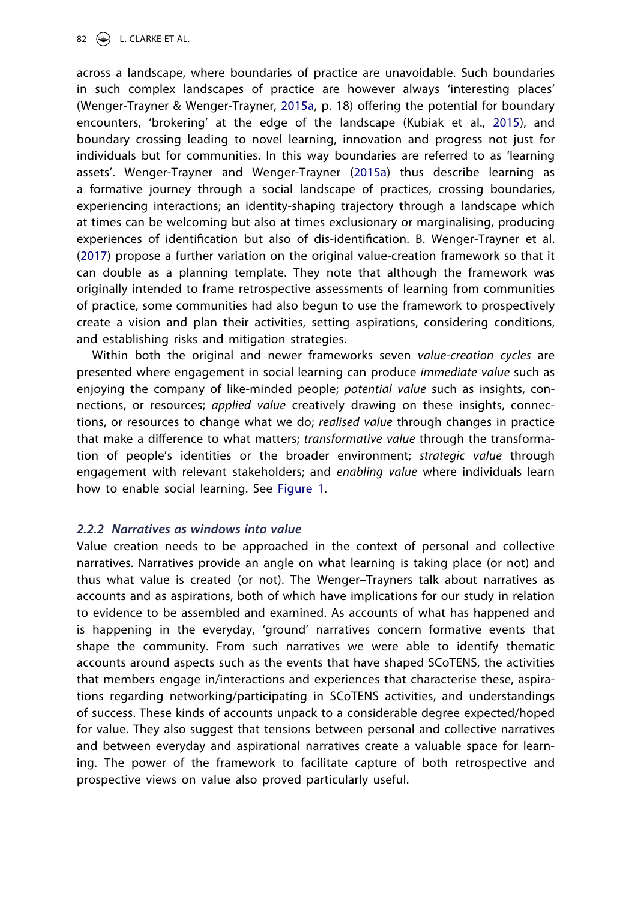82  $\left(\bigstar\right)$  L. CLARKE ET AL.

<span id="page-4-0"></span>across a landscape, where boundaries of practice are unavoidable. Such boundaries in such complex landscapes of practice are however always 'interesting places' (Wenger-Trayner & Wenger-Trayner, [2015a](#page-19-0), p. 18) offering the potential for boundary encounters, 'brokering' at the edge of the landscape (Kubiak et al., [2015\)](#page-18-12), and boundary crossing leading to novel learning, innovation and progress not just for individuals but for communities. In this way boundaries are referred to as 'learning assets'. Wenger-Trayner and Wenger-Trayner [\(2015a](#page-19-0)) thus describe learning as a formative journey through a social landscape of practices, crossing boundaries, experiencing interactions; an identity-shaping trajectory through a landscape which at times can be welcoming but also at times exclusionary or marginalising, producing experiences of identification but also of dis-identification. B. Wenger-Trayner et al. ([2017\)](#page-19-1) propose a further variation on the original value-creation framework so that it can double as a planning template. They note that although the framework was originally intended to frame retrospective assessments of learning from communities of practice, some communities had also begun to use the framework to prospectively create a vision and plan their activities, setting aspirations, considering conditions, and establishing risks and mitigation strategies.

Within both the original and newer frameworks seven *value-creation cycles* are presented where engagement in social learning can produce *immediate value* such as enjoying the company of like-minded people; *potential value* such as insights, connections, or resources; *applied value* creatively drawing on these insights, connections, or resources to change what we do; *realised value* through changes in practice that make a difference to what matters; *transformative value* through the transformation of people's identities or the broader environment; *strategic value* through engagement with relevant stakeholders; and *enabling value* where individuals learn how to enable social learning. See [Figure 1](#page-5-0).

# *2.2.2 Narratives as windows into value*

Value creation needs to be approached in the context of personal and collective narratives. Narratives provide an angle on what learning is taking place (or not) and thus what value is created (or not). The Wenger–Trayners talk about narratives as accounts and as aspirations, both of which have implications for our study in relation to evidence to be assembled and examined. As accounts of what has happened and is happening in the everyday, 'ground' narratives concern formative events that shape the community. From such narratives we were able to identify thematic accounts around aspects such as the events that have shaped SCoTENS, the activities that members engage in/interactions and experiences that characterise these, aspirations regarding networking/participating in SCoTENS activities, and understandings of success. These kinds of accounts unpack to a considerable degree expected/hoped for value. They also suggest that tensions between personal and collective narratives and between everyday and aspirational narratives create a valuable space for learning. The power of the framework to facilitate capture of both retrospective and prospective views on value also proved particularly useful.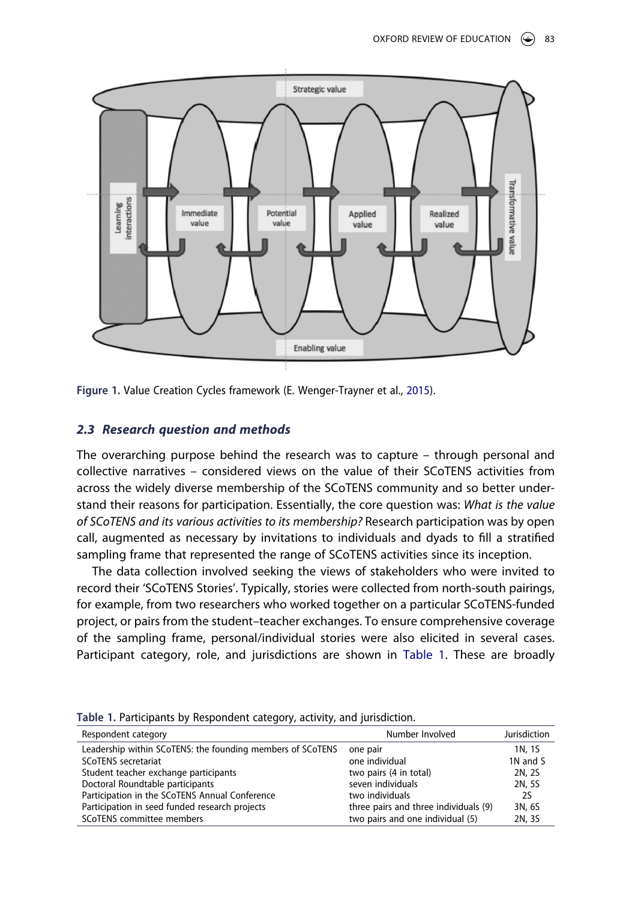<span id="page-5-0"></span>

<span id="page-5-2"></span>**Figure 1.** Value Creation Cycles framework (E. Wenger-Trayner et al., [2015\)](#page-19-3).

# *2.3 Research question and methods*

The overarching purpose behind the research was to capture – through personal and collective narratives – considered views on the value of their SCoTENS activities from across the widely diverse membership of the SCoTENS community and so better understand their reasons for participation. Essentially, the core question was: *What is the value of SCoTENS and its various activities to its membership?* Research participation was by open call, augmented as necessary by invitations to individuals and dyads to fill a stratified sampling frame that represented the range of SCoTENS activities since its inception.

The data collection involved seeking the views of stakeholders who were invited to record their 'SCoTENS Stories'. Typically, stories were collected from north-south pairings, for example, from two researchers who worked together on a particular SCoTENS-funded project, or pairs from the student–teacher exchanges. To ensure comprehensive coverage of the sampling frame, personal/individual stories were also elicited in several cases. Participant category, role, and jurisdictions are shown in [Table 1.](#page-5-1) These are broadly

| Table 1. Participants by Respondent category, activity, and jurisdiction. |                                       |              |
|---------------------------------------------------------------------------|---------------------------------------|--------------|
| Respondent category                                                       | Number Involved                       | Jurisdiction |
| Leadership within SCoTENS: the founding members of SCoTENS                | one pair                              | 1N, 1S       |
| <b>SCoTENS</b> secretariat                                                | one individual                        | 1N and S     |
| Student teacher exchange participants                                     | two pairs (4 in total)                | 2N, 2S       |
| Doctoral Roundtable participants                                          | seven individuals                     | 2N, 5S       |
| Participation in the SCoTENS Annual Conference                            | two individuals                       | 2S           |
| Participation in seed funded research projects                            | three pairs and three individuals (9) | 3N, 6S       |
| <b>SCoTENS</b> committee members                                          | two pairs and one individual (5)      | 2N, 3S       |

<span id="page-5-1"></span>**Table 1.** Participants by Respondent category, activity, and jurisdiction.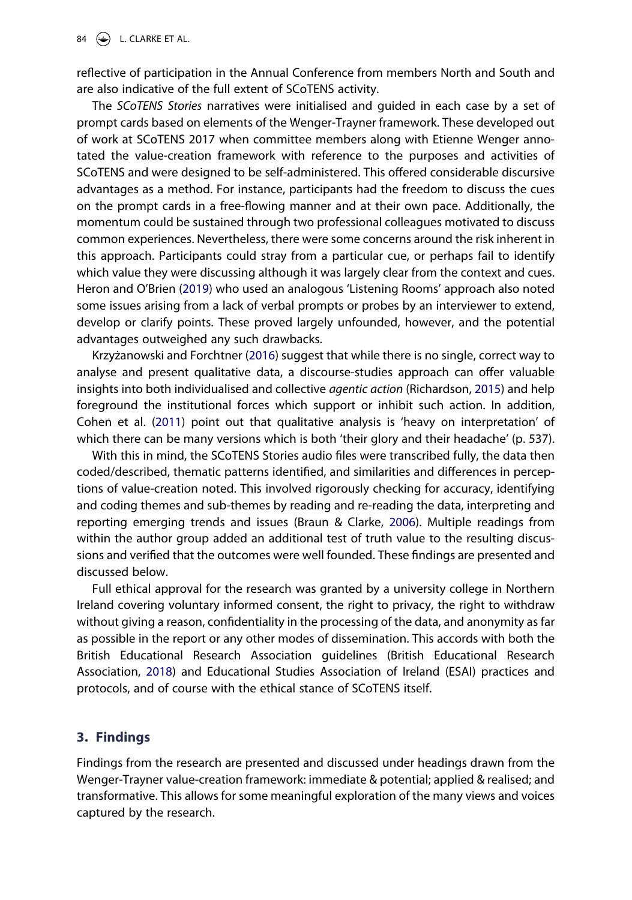reflective of participation in the Annual Conference from members North and South and are also indicative of the full extent of SCoTENS activity.

The *SCoTENS Stories* narratives were initialised and guided in each case by a set of prompt cards based on elements of the Wenger-Trayner framework. These developed out of work at SCoTENS 2017 when committee members along with Etienne Wenger annotated the value-creation framework with reference to the purposes and activities of SCoTENS and were designed to be self-administered. This offered considerable discursive advantages as a method. For instance, participants had the freedom to discuss the cues on the prompt cards in a free-flowing manner and at their own pace. Additionally, the momentum could be sustained through two professional colleagues motivated to discuss common experiences. Nevertheless, there were some concerns around the risk inherent in this approach. Participants could stray from a particular cue, or perhaps fail to identify which value they were discussing although it was largely clear from the context and cues. Heron and O'Brien ([2019](#page-18-13)) who used an analogous 'Listening Rooms' approach also noted some issues arising from a lack of verbal prompts or probes by an interviewer to extend, develop or clarify points. These proved largely unfounded, however, and the potential advantages outweighed any such drawbacks.

<span id="page-6-3"></span><span id="page-6-2"></span>Krzyżanowski and Forchtner [\(2016\)](#page-18-10) suggest that while there is no single, correct way to analyse and present qualitative data, a discourse-studies approach can offer valuable insights into both individualised and collective *agentic action* (Richardson, [2015](#page-18-14)) and help foreground the institutional forces which support or inhibit such action. In addition, Cohen et al. [\(2011\)](#page-18-15) point out that qualitative analysis is 'heavy on interpretation' of which there can be many versions which is both 'their glory and their headache' (p. 537).

<span id="page-6-1"></span>With this in mind, the SCoTENS Stories audio files were transcribed fully, the data then coded/described, thematic patterns identified, and similarities and differences in perceptions of value-creation noted. This involved rigorously checking for accuracy, identifying and coding themes and sub-themes by reading and re-reading the data, interpreting and reporting emerging trends and issues (Braun & Clarke, [2006](#page-18-9)). Multiple readings from within the author group added an additional test of truth value to the resulting discussions and verified that the outcomes were well founded. These findings are presented and discussed below.

Full ethical approval for the research was granted by a university college in Northern Ireland covering voluntary informed consent, the right to privacy, the right to withdraw without giving a reason, confidentiality in the processing of the data, and anonymity as far as possible in the report or any other modes of dissemination. This accords with both the British Educational Research Association guidelines (British Educational Research Association, [2018\)](#page-18-16) and Educational Studies Association of Ireland (ESAI) practices and protocols, and of course with the ethical stance of SCoTENS itself.

# <span id="page-6-0"></span>**3. Findings**

Findings from the research are presented and discussed under headings drawn from the Wenger-Trayner value-creation framework: immediate & potential; applied & realised; and transformative. This allows for some meaningful exploration of the many views and voices captured by the research.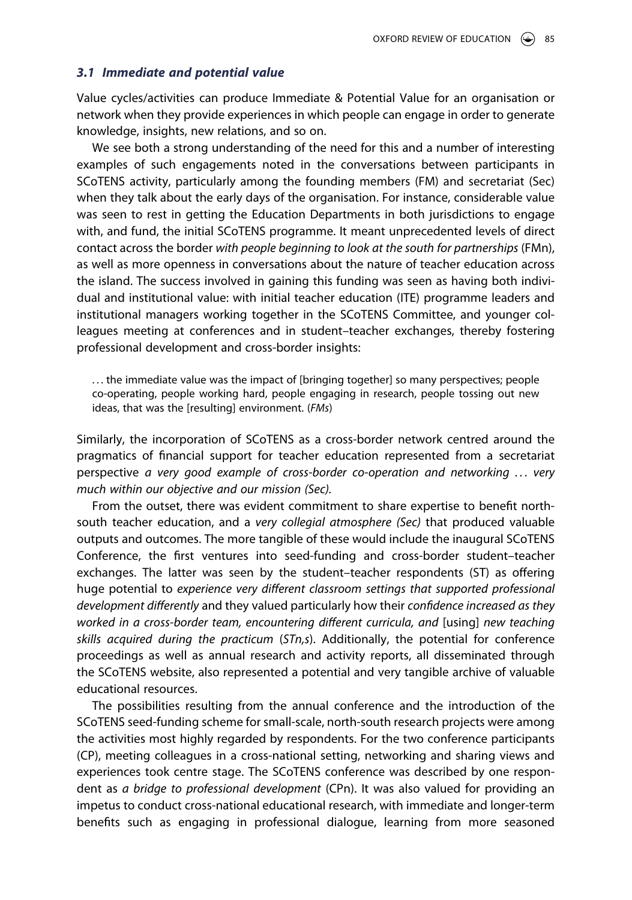#### *3.1 Immediate and potential value*

Value cycles/activities can produce Immediate & Potential Value for an organisation or network when they provide experiences in which people can engage in order to generate knowledge, insights, new relations, and so on.

We see both a strong understanding of the need for this and a number of interesting examples of such engagements noted in the conversations between participants in SCoTENS activity, particularly among the founding members (FM) and secretariat (Sec) when they talk about the early days of the organisation. For instance, considerable value was seen to rest in getting the Education Departments in both jurisdictions to engage with, and fund, the initial SCoTENS programme. It meant unprecedented levels of direct contact across the border *with people beginning to look at the south for partnerships* (FMn), as well as more openness in conversations about the nature of teacher education across the island. The success involved in gaining this funding was seen as having both individual and institutional value: with initial teacher education (ITE) programme leaders and institutional managers working together in the SCoTENS Committee, and younger colleagues meeting at conferences and in student–teacher exchanges, thereby fostering professional development and cross-border insights:

. . . the immediate value was the impact of [bringing together] so many perspectives; people co-operating, people working hard, people engaging in research, people tossing out new ideas, that was the [resulting] environment. (*FMs*)

Similarly, the incorporation of SCoTENS as a cross-border network centred around the pragmatics of financial support for teacher education represented from a secretariat perspective *a very good example of cross-border co-operation and networking . . . very much within our objective and our mission (Sec).*

From the outset, there was evident commitment to share expertise to benefit northsouth teacher education, and a *very collegial atmosphere (Sec)* that produced valuable outputs and outcomes. The more tangible of these would include the inaugural SCoTENS Conference, the first ventures into seed-funding and cross-border student–teacher exchanges. The latter was seen by the student–teacher respondents (ST) as offering huge potential to *experience very different classroom settings that supported professional development differently* and they valued particularly how their *confidence increased as they worked in a cross-border team, encountering different curricula, and [using] new teaching skills acquired during the practicum* (*STn,s*). Additionally, the potential for conference proceedings as well as annual research and activity reports, all disseminated through the SCoTENS website, also represented a potential and very tangible archive of valuable educational resources.

The possibilities resulting from the annual conference and the introduction of the SCoTENS seed-funding scheme for small-scale, north-south research projects were among the activities most highly regarded by respondents. For the two conference participants (CP), meeting colleagues in a cross-national setting, networking and sharing views and experiences took centre stage. The SCoTENS conference was described by one respondent as *a bridge to professional development* (CPn). It was also valued for providing an impetus to conduct cross-national educational research, with immediate and longer-term benefits such as engaging in professional dialogue, learning from more seasoned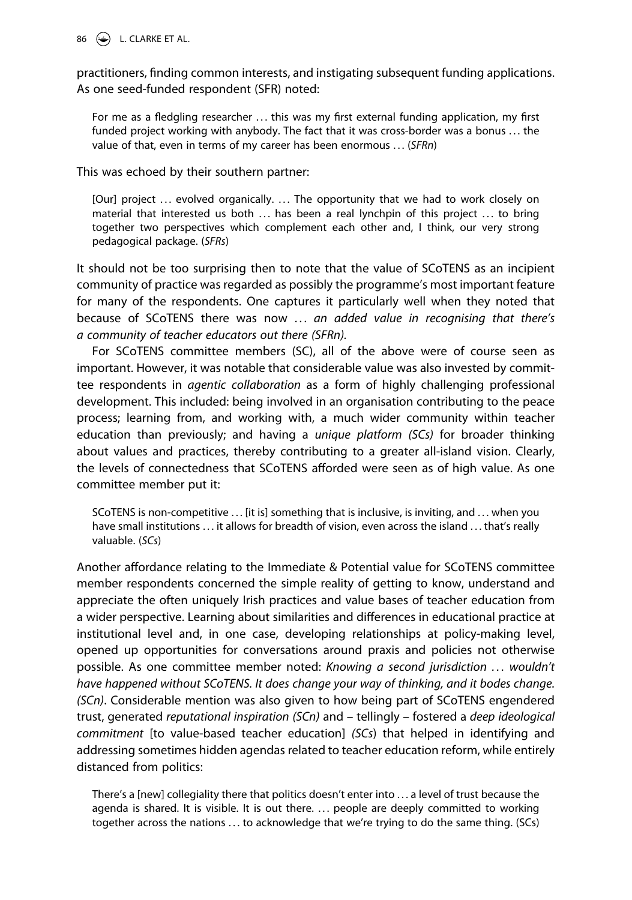86  $\left(\bigcirc\right)$  L. CLARKE ET AL.

practitioners, finding common interests, and instigating subsequent funding applications. As one seed-funded respondent (SFR) noted:

For me as a fledgling researcher ... this was my first external funding application, my first funded project working with anybody. The fact that it was cross-border was a bonus . . . the value of that, even in terms of my career has been enormous . . . (*SFRn*)

This was echoed by their southern partner:

[Our] project ... evolved organically. ... The opportunity that we had to work closely on material that interested us both  $\ldots$  has been a real lynchpin of this project  $\ldots$  to bring together two perspectives which complement each other and, I think, our very strong pedagogical package. (*SFRs*)

It should not be too surprising then to note that the value of SCoTENS as an incipient community of practice was regarded as possibly the programme's most important feature for many of the respondents. One captures it particularly well when they noted that because of SCoTENS there was now . . . *an added value in recognising that there's a community of teacher educators out there (SFRn).*

For SCoTENS committee members (SC), all of the above were of course seen as important. However, it was notable that considerable value was also invested by committee respondents in *agentic collaboration* as a form of highly challenging professional development. This included: being involved in an organisation contributing to the peace process; learning from, and working with, a much wider community within teacher education than previously; and having a *unique platform (SCs)* for broader thinking about values and practices, thereby contributing to a greater all-island vision. Clearly, the levels of connectedness that SCoTENS afforded were seen as of high value. As one committee member put it:

SCoTENS is non-competitive ... [it is] something that is inclusive, is inviting, and ... when you have small institutions ... it allows for breadth of vision, even across the island ... that's really valuable. (*SCs*)

Another affordance relating to the Immediate & Potential value for SCoTENS committee member respondents concerned the simple reality of getting to know, understand and appreciate the often uniquely Irish practices and value bases of teacher education from a wider perspective. Learning about similarities and differences in educational practice at institutional level and, in one case, developing relationships at policy-making level, opened up opportunities for conversations around praxis and policies not otherwise possible. As one committee member noted: *Knowing a second jurisdiction . . . wouldn't have happened without SCoTENS. It does change your way of thinking, and it bodes change. (SCn)*. Considerable mention was also given to how being part of SCoTENS engendered trust, generated *reputational inspiration (SCn)* and – tellingly – fostered a *deep ideological commitment* [to value-based teacher education] *(SCs*) that helped in identifying and addressing sometimes hidden agendas related to teacher education reform, while entirely distanced from politics:

There's a [new] collegiality there that politics doesn't enter into . . . a level of trust because the agenda is shared. It is visible. It is out there. ... people are deeply committed to working together across the nations ... to acknowledge that we're trying to do the same thing. (SCs)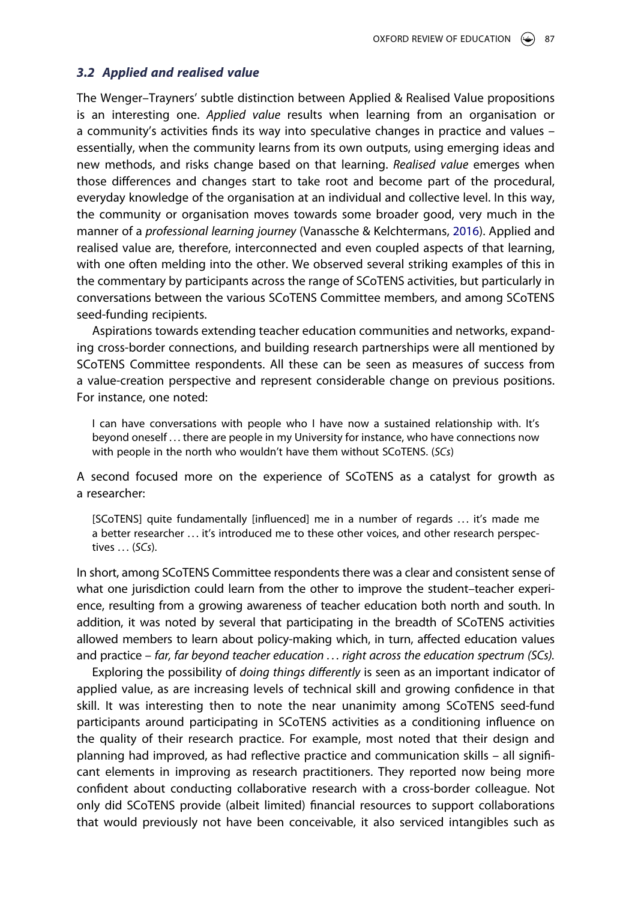#### *3.2 Applied and realised value*

The Wenger–Trayners' subtle distinction between Applied & Realised Value propositions is an interesting one. *Applied value* results when learning from an organisation or a community's activities finds its way into speculative changes in practice and values – essentially, when the community learns from its own outputs, using emerging ideas and new methods, and risks change based on that learning. *Realised value* emerges when those differences and changes start to take root and become part of the procedural, everyday knowledge of the organisation at an individual and collective level. In this way, the community or organisation moves towards some broader good, very much in the manner of a *professional learning journey* (Vanassche & Kelchtermans, [2016](#page-18-7)). Applied and realised value are, therefore, interconnected and even coupled aspects of that learning, with one often melding into the other. We observed several striking examples of this in the commentary by participants across the range of SCoTENS activities, but particularly in conversations between the various SCoTENS Committee members, and among SCoTENS seed-funding recipients.

Aspirations towards extending teacher education communities and networks, expanding cross-border connections, and building research partnerships were all mentioned by SCoTENS Committee respondents. All these can be seen as measures of success from a value-creation perspective and represent considerable change on previous positions. For instance, one noted:

I can have conversations with people who I have now a sustained relationship with. It's beyond oneself . . . there are people in my University for instance, who have connections now with people in the north who wouldn't have them without SCoTENS. (*SCs*)

A second focused more on the experience of SCoTENS as a catalyst for growth as a researcher:

[SCoTENS] quite fundamentally [influenced] me in a number of regards . . . it's made me a better researcher . . . it's introduced me to these other voices, and other research perspectives . . . (*SCs*).

In short, among SCoTENS Committee respondents there was a clear and consistent sense of what one jurisdiction could learn from the other to improve the student–teacher experience, resulting from a growing awareness of teacher education both north and south. In addition, it was noted by several that participating in the breadth of SCoTENS activities allowed members to learn about policy-making which, in turn, affected education values and practice – *far, far beyond teacher education . . . right across the education spectrum (SCs).*

Exploring the possibility of *doing things differently* is seen as an important indicator of applied value, as are increasing levels of technical skill and growing confidence in that skill. It was interesting then to note the near unanimity among SCoTENS seed-fund participants around participating in SCoTENS activities as a conditioning influence on the quality of their research practice. For example, most noted that their design and planning had improved, as had reflective practice and communication skills – all significant elements in improving as research practitioners. They reported now being more confident about conducting collaborative research with a cross-border colleague. Not only did SCoTENS provide (albeit limited) financial resources to support collaborations that would previously not have been conceivable, it also serviced intangibles such as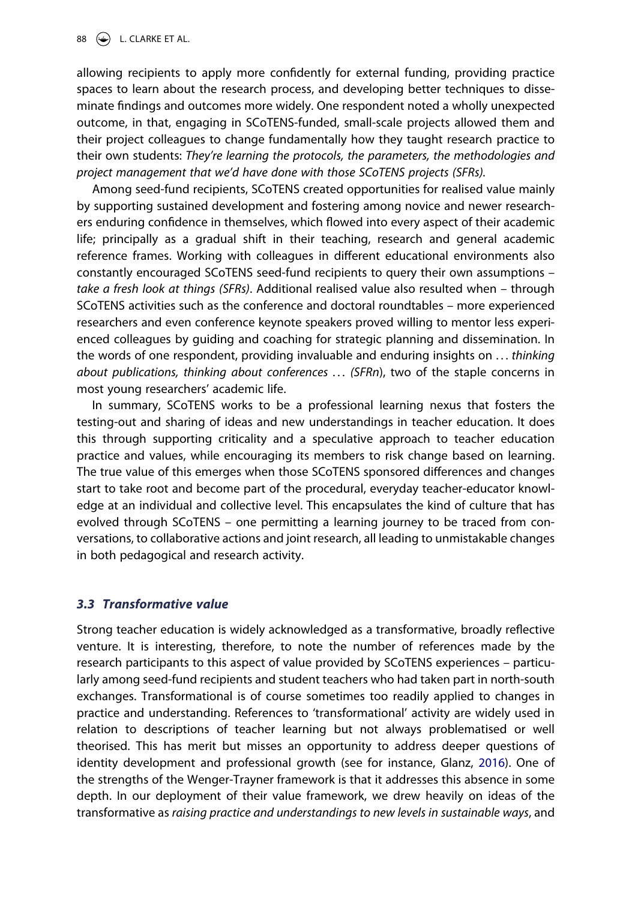88  $\left(\bigcirc\right)$  L. CLARKE ET AL.

allowing recipients to apply more confidently for external funding, providing practice spaces to learn about the research process, and developing better techniques to disseminate findings and outcomes more widely. One respondent noted a wholly unexpected outcome, in that, engaging in SCoTENS-funded, small-scale projects allowed them and their project colleagues to change fundamentally how they taught research practice to their own students: *They're learning the protocols, the parameters, the methodologies and project management that we'd have done with those SCoTENS projects (SFRs).*

Among seed-fund recipients, SCoTENS created opportunities for realised value mainly by supporting sustained development and fostering among novice and newer researchers enduring confidence in themselves, which flowed into every aspect of their academic life; principally as a gradual shift in their teaching, research and general academic reference frames. Working with colleagues in different educational environments also constantly encouraged SCoTENS seed-fund recipients to query their own assumptions – *take a fresh look at things (SFRs)*. Additional realised value also resulted when – through SCoTENS activities such as the conference and doctoral roundtables – more experienced researchers and even conference keynote speakers proved willing to mentor less experienced colleagues by guiding and coaching for strategic planning and dissemination. In the words of one respondent, providing invaluable and enduring insights on . . . *thinking about publications, thinking about conferences . . . (SFRn*), two of the staple concerns in most young researchers' academic life.

In summary, SCoTENS works to be a professional learning nexus that fosters the testing-out and sharing of ideas and new understandings in teacher education. It does this through supporting criticality and a speculative approach to teacher education practice and values, while encouraging its members to risk change based on learning. The true value of this emerges when those SCoTENS sponsored differences and changes start to take root and become part of the procedural, everyday teacher-educator knowledge at an individual and collective level. This encapsulates the kind of culture that has evolved through SCoTENS – one permitting a learning journey to be traced from conversations, to collaborative actions and joint research, all leading to unmistakable changes in both pedagogical and research activity.

# *3.3 Transformative value*

<span id="page-10-0"></span>Strong teacher education is widely acknowledged as a transformative, broadly reflective venture. It is interesting, therefore, to note the number of references made by the research participants to this aspect of value provided by SCoTENS experiences – particularly among seed-fund recipients and student teachers who had taken part in north-south exchanges. Transformational is of course sometimes too readily applied to changes in practice and understanding. References to 'transformational' activity are widely used in relation to descriptions of teacher learning but not always problematised or well theorised. This has merit but misses an opportunity to address deeper questions of identity development and professional growth (see for instance, Glanz, [2016](#page-18-17)). One of the strengths of the Wenger-Trayner framework is that it addresses this absence in some depth. In our deployment of their value framework, we drew heavily on ideas of the transformative as *raising practice and understandings to new levels in sustainable ways*, and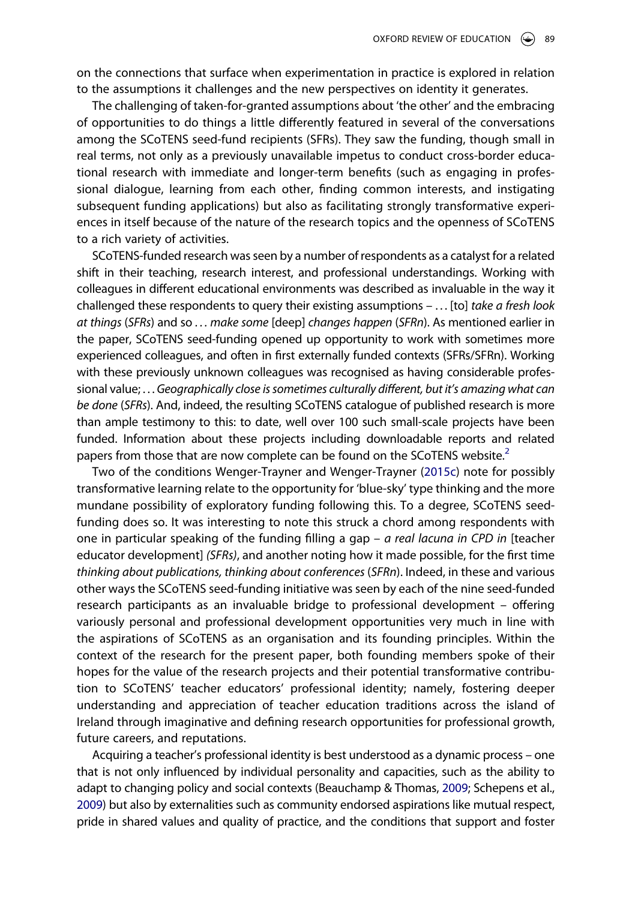on the connections that surface when experimentation in practice is explored in relation to the assumptions it challenges and the new perspectives on identity it generates.

The challenging of taken-for-granted assumptions about 'the other' and the embracing of opportunities to do things a little differently featured in several of the conversations among the SCoTENS seed-fund recipients (SFRs). They saw the funding, though small in real terms, not only as a previously unavailable impetus to conduct cross-border educational research with immediate and longer-term benefits (such as engaging in professional dialogue, learning from each other, finding common interests, and instigating subsequent funding applications) but also as facilitating strongly transformative experiences in itself because of the nature of the research topics and the openness of SCoTENS to a rich variety of activities.

SCoTENS-funded research was seen by a number of respondents as a catalyst for a related shift in their teaching, research interest, and professional understandings. Working with colleagues in different educational environments was described as invaluable in the way it challenged these respondents to query their existing assumptions – . . . [to] *take a fresh look at things* (*SFRs*) and so *. . . make some* [deep] *changes happen* (*SFRn*). As mentioned earlier in the paper, SCoTENS seed-funding opened up opportunity to work with sometimes more experienced colleagues, and often in first externally funded contexts (SFRs/SFRn). Working with these previously unknown colleagues was recognised as having considerable professional value; . . . *Geographically close is sometimes culturally different, but it's amazing what can be done* (*SFRs*). And, indeed, the resulting SCoTENS catalogue of published research is more than ample testimony to this: to date, well over 100 such small-scale projects have been funded. Information about these projects including downloadable reports and related papers from those that are now complete can be found on the SCoTENS website. $2$ 

<span id="page-11-1"></span>Two of the conditions Wenger-Trayner and Wenger-Trayner [\(2015c](#page-19-4)) note for possibly transformative learning relate to the opportunity for 'blue-sky' type thinking and the more mundane possibility of exploratory funding following this. To a degree, SCoTENS seedfunding does so. It was interesting to note this struck a chord among respondents with one in particular speaking of the funding filling a gap – *a real lacuna in CPD in* [teacher educator development] *(SFRs)*, and another noting how it made possible, for the first time *thinking about publications, thinking about conferences* (*SFRn*). Indeed, in these and various other ways the SCoTENS seed-funding initiative was seen by each of the nine seed-funded research participants as an invaluable bridge to professional development – offering variously personal and professional development opportunities very much in line with the aspirations of SCoTENS as an organisation and its founding principles. Within the context of the research for the present paper, both founding members spoke of their hopes for the value of the research projects and their potential transformative contribution to SCoTENS' teacher educators' professional identity; namely, fostering deeper understanding and appreciation of teacher education traditions across the island of Ireland through imaginative and defining research opportunities for professional growth, future careers, and reputations.

<span id="page-11-0"></span>Acquiring a teacher's professional identity is best understood as a dynamic process – one that is not only influenced by individual personality and capacities, such as the ability to adapt to changing policy and social contexts (Beauchamp & Thomas, [2009](#page-18-18); Schepens et al., [2009](#page-18-19)) but also by externalities such as community endorsed aspirations like mutual respect, pride in shared values and quality of practice, and the conditions that support and foster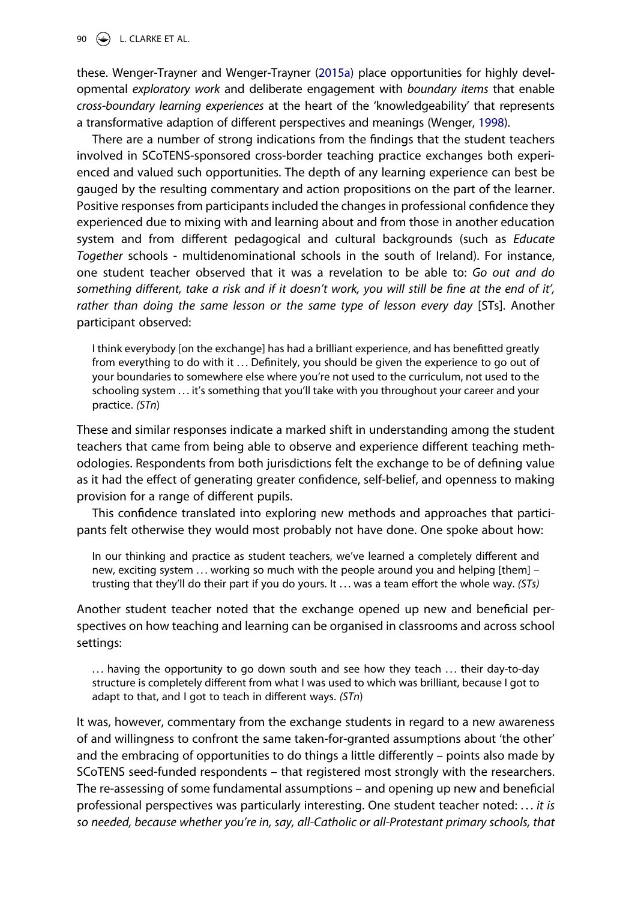90  $\left(\bigodot\right)$  L. CLARKE ET AL.

these. Wenger-Trayner and Wenger-Trayner ([2015a\)](#page-19-0) place opportunities for highly developmental *exploratory work* and deliberate engagement with *boundary items* that enable *cross-boundary learning experiences* at the heart of the 'knowledgeability' that represents a transformative adaption of different perspectives and meanings (Wenger, [1998\)](#page-19-2).

There are a number of strong indications from the findings that the student teachers involved in SCoTENS-sponsored cross-border teaching practice exchanges both experienced and valued such opportunities. The depth of any learning experience can best be gauged by the resulting commentary and action propositions on the part of the learner. Positive responses from participants included the changes in professional confidence they experienced due to mixing with and learning about and from those in another education system and from different pedagogical and cultural backgrounds (such as *Educate Together* schools - multidenominational schools in the south of Ireland). For instance, one student teacher observed that it was a revelation to be able to: *Go out and do something different, take a risk and if it doesn't work, you will still be fine at the end of it',*  rather than doing the same lesson or the same type of lesson every day [STs]. Another participant observed:

I think everybody [on the exchange] has had a brilliant experience, and has benefitted greatly from everything to do with it ... Definitely, you should be given the experience to go out of your boundaries to somewhere else where you're not used to the curriculum, not used to the schooling system . . . it's something that you'll take with you throughout your career and your practice. *(STn*)

These and similar responses indicate a marked shift in understanding among the student teachers that came from being able to observe and experience different teaching methodologies. Respondents from both jurisdictions felt the exchange to be of defining value as it had the effect of generating greater confidence, self-belief, and openness to making provision for a range of different pupils.

This confidence translated into exploring new methods and approaches that participants felt otherwise they would most probably not have done. One spoke about how:

In our thinking and practice as student teachers, we've learned a completely different and new, exciting system ... working so much with the people around you and helping [them] trusting that they'll do their part if you do yours. It . . . was a team effort the whole way. *(STs)*

Another student teacher noted that the exchange opened up new and beneficial perspectives on how teaching and learning can be organised in classrooms and across school settings:

... having the opportunity to go down south and see how they teach ... their day-to-day structure is completely different from what I was used to which was brilliant, because I got to adapt to that, and I got to teach in different ways. *(STn*)

It was, however, commentary from the exchange students in regard to a new awareness of and willingness to confront the same taken-for-granted assumptions about 'the other' and the embracing of opportunities to do things a little differently – points also made by SCoTENS seed-funded respondents – that registered most strongly with the researchers. The re-assessing of some fundamental assumptions – and opening up new and beneficial professional perspectives was particularly interesting. One student teacher noted: . . . *it is so needed, because whether you're in, say, all-Catholic or all-Protestant primary schools, that*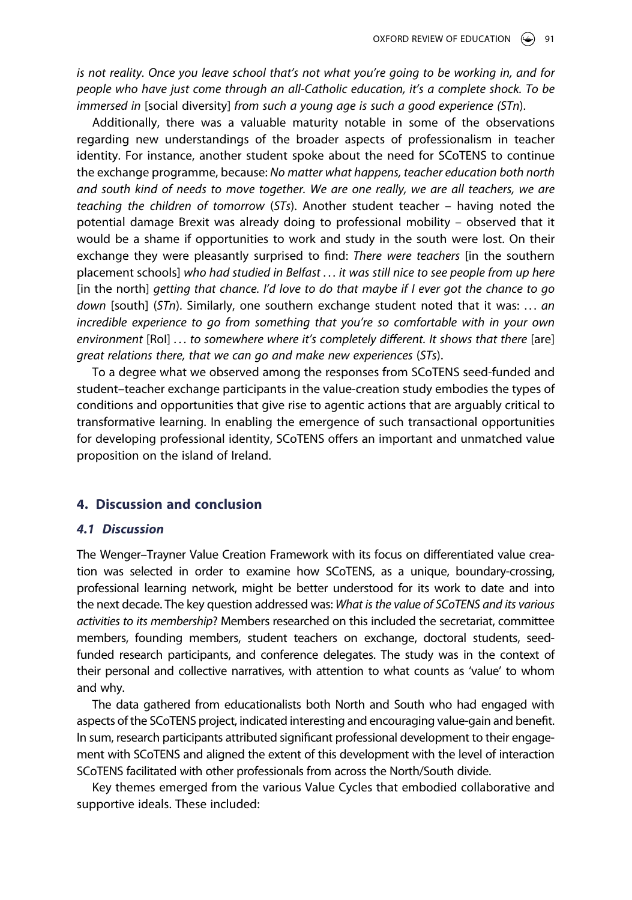*is not reality. Once you leave school that's not what you're going to be working in, and for people who have just come through an all-Catholic education, it's a complete shock. To be immersed in* [social diversity] *from such a young age is such a good experience (STn*).

Additionally, there was a valuable maturity notable in some of the observations regarding new understandings of the broader aspects of professionalism in teacher identity. For instance, another student spoke about the need for SCoTENS to continue the exchange programme, because: *No matter what happens, teacher education both north and south kind of needs to move together. We are one really, we are all teachers, we are teaching the children of tomorrow* (*STs*). Another student teacher – having noted the potential damage Brexit was already doing to professional mobility – observed that it would be a shame if opportunities to work and study in the south were lost. On their exchange they were pleasantly surprised to find: *There were teachers* [in the southern placement schools] *who had studied in Belfast . . . it was still nice to see people from up here*  [in the north] *getting that chance. I'd love to do that maybe if I ever got the chance to go down* [south] (*STn*). Similarly, one southern exchange student noted that it was: . . . *an incredible experience to go from something that you're so comfortable with in your own environment* [RoI] *. . . to somewhere where it's completely different. It shows that there* [are] *great relations there, that we can go and make new experiences* (*STs*).

To a degree what we observed among the responses from SCoTENS seed-funded and student–teacher exchange participants in the value-creation study embodies the types of conditions and opportunities that give rise to agentic actions that are arguably critical to transformative learning. In enabling the emergence of such transactional opportunities for developing professional identity, SCoTENS offers an important and unmatched value proposition on the island of Ireland.

# **4. Discussion and conclusion**

#### *4.1 Discussion*

The Wenger–Trayner Value Creation Framework with its focus on differentiated value creation was selected in order to examine how SCoTENS, as a unique, boundary-crossing, professional learning network, might be better understood for its work to date and into the next decade. The key question addressed was: *What is the value of SCoTENS and its various activities to its membership*? Members researched on this included the secretariat, committee members, founding members, student teachers on exchange, doctoral students, seedfunded research participants, and conference delegates. The study was in the context of their personal and collective narratives, with attention to what counts as 'value' to whom and why.

The data gathered from educationalists both North and South who had engaged with aspects of the SCoTENS project, indicated interesting and encouraging value-gain and benefit. In sum, research participants attributed significant professional development to their engagement with SCoTENS and aligned the extent of this development with the level of interaction SCoTENS facilitated with other professionals from across the North/South divide.

Key themes emerged from the various Value Cycles that embodied collaborative and supportive ideals. These included: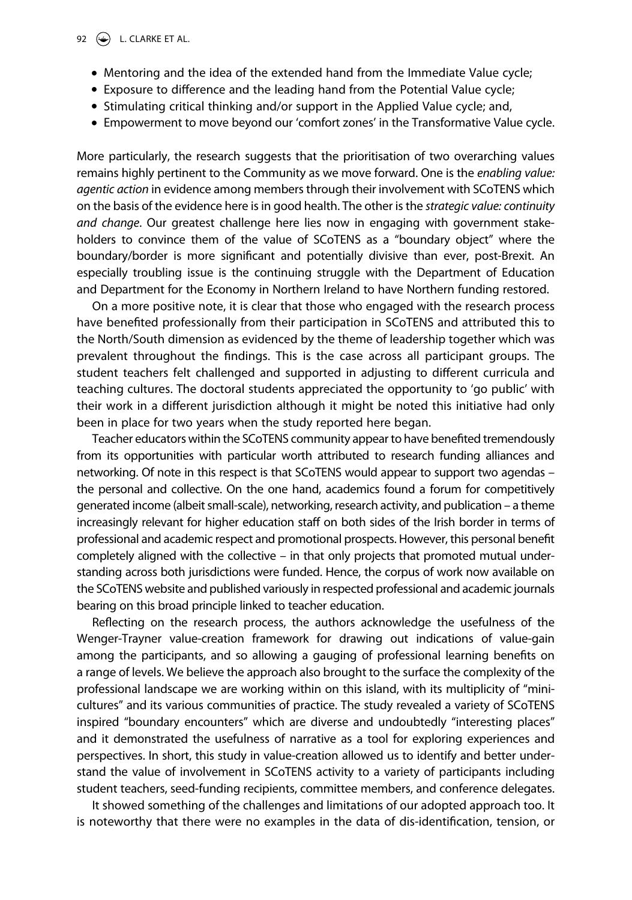- Mentoring and the idea of the extended hand from the Immediate Value cycle;
- Exposure to difference and the leading hand from the Potential Value cycle;
- Stimulating critical thinking and/or support in the Applied Value cycle; and,
- Empowerment to move beyond our 'comfort zones' in the Transformative Value cycle.

More particularly, the research suggests that the prioritisation of two overarching values remains highly pertinent to the Community as we move forward. One is the *enabling value: agentic action* in evidence among members through their involvement with SCoTENS which on the basis of the evidence here is in good health. The other is the *strategic value: continuity and change*. Our greatest challenge here lies now in engaging with government stakeholders to convince them of the value of SCoTENS as a "boundary object" where the boundary/border is more significant and potentially divisive than ever, post-Brexit. An especially troubling issue is the continuing struggle with the Department of Education and Department for the Economy in Northern Ireland to have Northern funding restored.

On a more positive note, it is clear that those who engaged with the research process have benefited professionally from their participation in SCoTENS and attributed this to the North/South dimension as evidenced by the theme of leadership together which was prevalent throughout the findings. This is the case across all participant groups. The student teachers felt challenged and supported in adjusting to different curricula and teaching cultures. The doctoral students appreciated the opportunity to 'go public' with their work in a different jurisdiction although it might be noted this initiative had only been in place for two years when the study reported here began.

Teacher educators within the SCoTENS community appear to have benefited tremendously from its opportunities with particular worth attributed to research funding alliances and networking. Of note in this respect is that SCoTENS would appear to support two agendas – the personal and collective. On the one hand, academics found a forum for competitively generated income (albeit small-scale), networking, research activity, and publication – a theme increasingly relevant for higher education staff on both sides of the Irish border in terms of professional and academic respect and promotional prospects. However, this personal benefit completely aligned with the collective – in that only projects that promoted mutual understanding across both jurisdictions were funded. Hence, the corpus of work now available on the SCoTENS website and published variously in respected professional and academic journals bearing on this broad principle linked to teacher education.

Reflecting on the research process, the authors acknowledge the usefulness of the Wenger-Trayner value-creation framework for drawing out indications of value-gain among the participants, and so allowing a gauging of professional learning benefits on a range of levels. We believe the approach also brought to the surface the complexity of the professional landscape we are working within on this island, with its multiplicity of "minicultures" and its various communities of practice. The study revealed a variety of SCoTENS inspired "boundary encounters" which are diverse and undoubtedly "interesting places" and it demonstrated the usefulness of narrative as a tool for exploring experiences and perspectives. In short, this study in value-creation allowed us to identify and better understand the value of involvement in SCoTENS activity to a variety of participants including student teachers, seed-funding recipients, committee members, and conference delegates.

It showed something of the challenges and limitations of our adopted approach too. It is noteworthy that there were no examples in the data of dis-identification, tension, or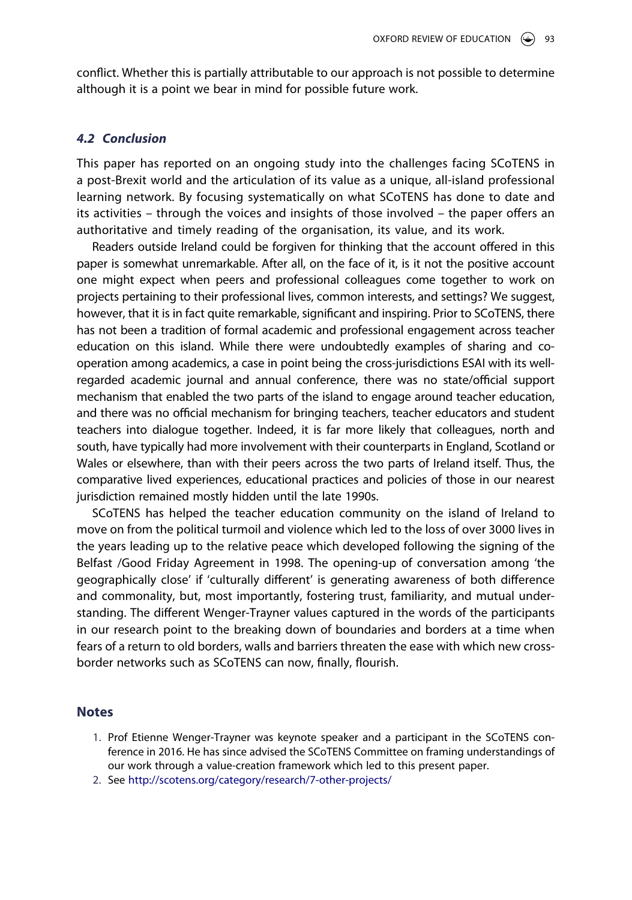conflict. Whether this is partially attributable to our approach is not possible to determine although it is a point we bear in mind for possible future work.

#### *4.2 Conclusion*

This paper has reported on an ongoing study into the challenges facing SCoTENS in a post-Brexit world and the articulation of its value as a unique, all-island professional learning network. By focusing systematically on what SCoTENS has done to date and its activities – through the voices and insights of those involved – the paper offers an authoritative and timely reading of the organisation, its value, and its work.

Readers outside Ireland could be forgiven for thinking that the account offered in this paper is somewhat unremarkable. After all, on the face of it, is it not the positive account one might expect when peers and professional colleagues come together to work on projects pertaining to their professional lives, common interests, and settings? We suggest, however, that it is in fact quite remarkable, significant and inspiring. Prior to SCoTENS, there has not been a tradition of formal academic and professional engagement across teacher education on this island. While there were undoubtedly examples of sharing and cooperation among academics, a case in point being the cross-jurisdictions ESAI with its wellregarded academic journal and annual conference, there was no state/official support mechanism that enabled the two parts of the island to engage around teacher education, and there was no official mechanism for bringing teachers, teacher educators and student teachers into dialogue together. Indeed, it is far more likely that colleagues, north and south, have typically had more involvement with their counterparts in England, Scotland or Wales or elsewhere, than with their peers across the two parts of Ireland itself. Thus, the comparative lived experiences, educational practices and policies of those in our nearest jurisdiction remained mostly hidden until the late 1990s.

SCoTENS has helped the teacher education community on the island of Ireland to move on from the political turmoil and violence which led to the loss of over 3000 lives in the years leading up to the relative peace which developed following the signing of the Belfast /Good Friday Agreement in 1998. The opening-up of conversation among 'the geographically close' if 'culturally different' is generating awareness of both difference and commonality, but, most importantly, fostering trust, familiarity, and mutual understanding. The different Wenger-Trayner values captured in the words of the participants in our research point to the breaking down of boundaries and borders at a time when fears of a return to old borders, walls and barriers threaten the ease with which new crossborder networks such as SCoTENS can now, finally, flourish.

#### **Notes**

- <span id="page-15-0"></span>1. Prof Etienne Wenger-Trayner was keynote speaker and a participant in the SCoTENS conference in 2016. He has since advised the SCoTENS Committee on framing understandings of our work through a value-creation framework which led to this present paper.
- <span id="page-15-1"></span>2. See <http://scotens.org/category/research/7-other-projects/>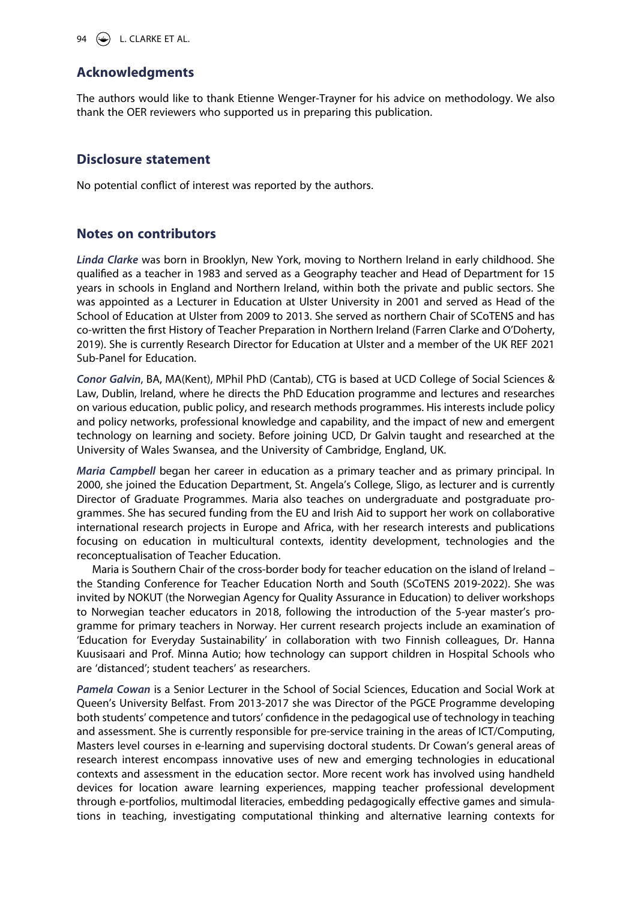94  $\left(\bigstar\right)$  L. CLARKE ET AL.

# **Acknowledgments**

The authors would like to thank Etienne Wenger-Trayner for his advice on methodology. We also thank the OER reviewers who supported us in preparing this publication.

### **Disclosure statement**

No potential conflict of interest was reported by the authors.

# **Notes on contributors**

*Linda Clarke* was born in Brooklyn, New York, moving to Northern Ireland in early childhood. She qualified as a teacher in 1983 and served as a Geography teacher and Head of Department for 15 years in schools in England and Northern Ireland, within both the private and public sectors. She was appointed as a Lecturer in Education at Ulster University in 2001 and served as Head of the School of Education at Ulster from 2009 to 2013. She served as northern Chair of SCoTENS and has co-written the first History of Teacher Preparation in Northern Ireland (Farren Clarke and O'Doherty, 2019). She is currently Research Director for Education at Ulster and a member of the UK REF 2021 Sub-Panel for Education.

*Conor Galvin*, BA, MA(Kent), MPhil PhD (Cantab), CTG is based at UCD College of Social Sciences & Law, Dublin, Ireland, where he directs the PhD Education programme and lectures and researches on various education, public policy, and research methods programmes. His interests include policy and policy networks, professional knowledge and capability, and the impact of new and emergent technology on learning and society. Before joining UCD, Dr Galvin taught and researched at the University of Wales Swansea, and the University of Cambridge, England, UK.

*Maria Campbell* began her career in education as a primary teacher and as primary principal. In 2000, she joined the Education Department, St. Angela's College, Sligo, as lecturer and is currently Director of Graduate Programmes. Maria also teaches on undergraduate and postgraduate programmes. She has secured funding from the EU and Irish Aid to support her work on collaborative international research projects in Europe and Africa, with her research interests and publications focusing on education in multicultural contexts, identity development, technologies and the reconceptualisation of Teacher Education.

Maria is Southern Chair of the cross-border body for teacher education on the island of Ireland the Standing Conference for Teacher Education North and South (SCoTENS 2019-2022). She was invited by NOKUT (the Norwegian Agency for Quality Assurance in Education) to deliver workshops to Norwegian teacher educators in 2018, following the introduction of the 5-year master's programme for primary teachers in Norway. Her current research projects include an examination of 'Education for Everyday Sustainability' in collaboration with two Finnish colleagues, Dr. Hanna Kuusisaari and Prof. Minna Autio; how technology can support children in Hospital Schools who are 'distanced'; student teachers' as researchers.

*Pamela Cowan* is a Senior Lecturer in the School of Social Sciences, Education and Social Work at Queen's University Belfast. From 2013-2017 she was Director of the PGCE Programme developing both students' competence and tutors' confidence in the pedagogical use of technology in teaching and assessment. She is currently responsible for pre-service training in the areas of ICT/Computing, Masters level courses in e-learning and supervising doctoral students. Dr Cowan's general areas of research interest encompass innovative uses of new and emerging technologies in educational contexts and assessment in the education sector. More recent work has involved using handheld devices for location aware learning experiences, mapping teacher professional development through e-portfolios, multimodal literacies, embedding pedagogically effective games and simulations in teaching, investigating computational thinking and alternative learning contexts for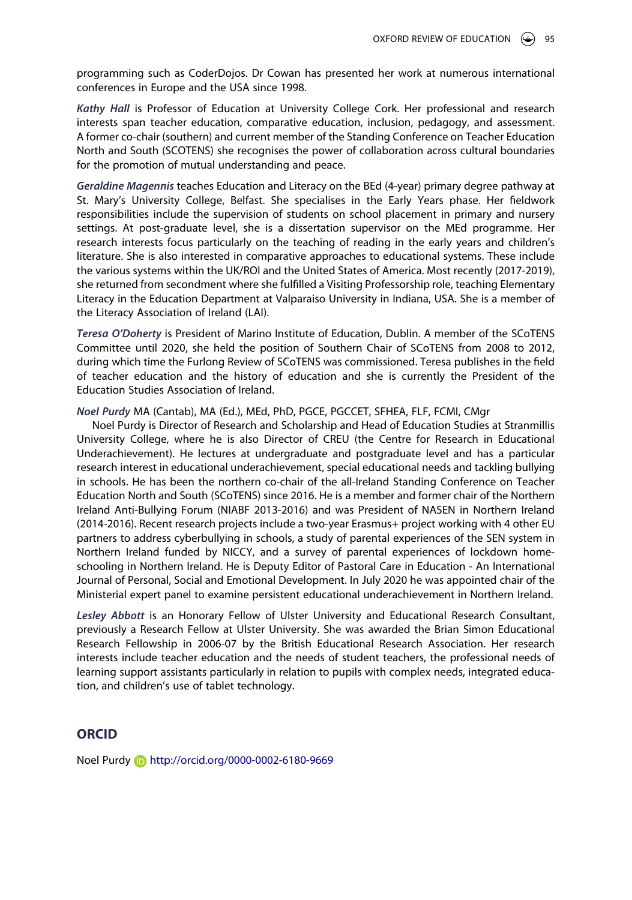programming such as CoderDojos. Dr Cowan has presented her work at numerous international conferences in Europe and the USA since 1998.

*Kathy Hall* is Professor of Education at University College Cork. Her professional and research interests span teacher education, comparative education, inclusion, pedagogy, and assessment. A former co-chair (southern) and current member of the Standing Conference on Teacher Education North and South (SCOTENS) she recognises the power of collaboration across cultural boundaries for the promotion of mutual understanding and peace.

*Geraldine Magennis* teaches Education and Literacy on the BEd (4-year) primary degree pathway at St. Mary's University College, Belfast. She specialises in the Early Years phase. Her fieldwork responsibilities include the supervision of students on school placement in primary and nursery settings. At post-graduate level, she is a dissertation supervisor on the MEd programme. Her research interests focus particularly on the teaching of reading in the early years and children's literature. She is also interested in comparative approaches to educational systems. These include the various systems within the UK/ROI and the United States of America. Most recently (2017-2019), she returned from secondment where she fulfilled a Visiting Professorship role, teaching Elementary Literacy in the Education Department at Valparaiso University in Indiana, USA. She is a member of the Literacy Association of Ireland (LAI).

*Teresa O'Doherty* is President of Marino Institute of Education, Dublin. A member of the SCoTENS Committee until 2020, she held the position of Southern Chair of SCoTENS from 2008 to 2012, during which time the Furlong Review of SCoTENS was commissioned. Teresa publishes in the field of teacher education and the history of education and she is currently the President of the Education Studies Association of Ireland.

#### *Noel Purdy* MA (Cantab), MA (Ed.), MEd, PhD, PGCE, PGCCET, SFHEA, FLF, FCMI, CMgr

Noel Purdy is Director of Research and Scholarship and Head of Education Studies at Stranmillis University College, where he is also Director of CREU (the Centre for Research in Educational Underachievement). He lectures at undergraduate and postgraduate level and has a particular research interest in educational underachievement, special educational needs and tackling bullying in schools. He has been the northern co-chair of the all-Ireland Standing Conference on Teacher Education North and South (SCoTENS) since 2016. He is a member and former chair of the Northern Ireland Anti-Bullying Forum (NIABF 2013-2016) and was President of NASEN in Northern Ireland (2014-2016). Recent research projects include a two-year Erasmus+ project working with 4 other EU partners to address cyberbullying in schools, a study of parental experiences of the SEN system in Northern Ireland funded by NICCY, and a survey of parental experiences of lockdown homeschooling in Northern Ireland. He is Deputy Editor of Pastoral Care in Education - An International Journal of Personal, Social and Emotional Development. In July 2020 he was appointed chair of the Ministerial expert panel to examine persistent educational underachievement in Northern Ireland.

*Lesley Abbott* is an Honorary Fellow of Ulster University and Educational Research Consultant, previously a Research Fellow at Ulster University. She was awarded the Brian Simon Educational Research Fellowship in 2006-07 by the British Educational Research Association. Her research interests include teacher education and the needs of student teachers, the professional needs of learning support assistants particularly in relation to pupils with complex needs, integrated education, and children's use of tablet technology.

#### **ORCID**

Noel Purdy http://orcid.org/0000-0002-6180-9669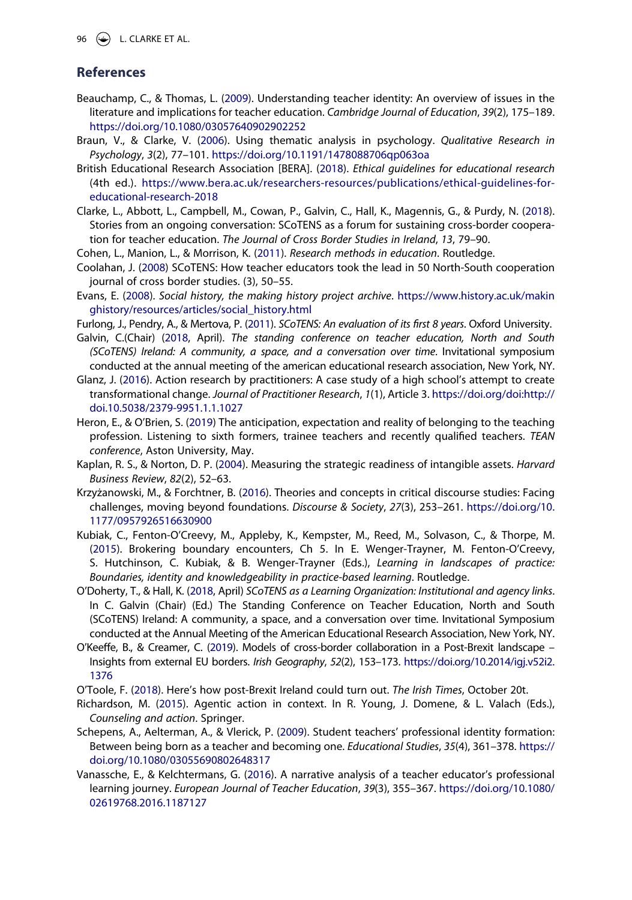$\left(\bigodot\right)$  L. CLARKE ET AL.

# **References**

- <span id="page-18-18"></span>Beauchamp, C., & Thomas, L. [\(2009\)](#page-11-0). Understanding teacher identity: An overview of issues in the literature and implications for teacher education. *Cambridge Journal of Education*, *39*(2), 175–189. <https://doi.org/10.1080/03057640902902252>
- <span id="page-18-9"></span>Braun, V., & Clarke, V. ([2006](#page-3-0)). Using thematic analysis in psychology. *Qualitative Research in Psychology*, *3*(2), 77–101. <https://doi.org/10.1191/1478088706qp063oa>
- <span id="page-18-16"></span>British Educational Research Association [BERA]. ([2018](#page-6-0)). *Ethical guidelines for educational research*  (4th ed.). [https://www.bera.ac.uk/researchers-resources/publications/ethical-guidelines-for](https://www.bera.ac.uk/researchers-resources/publications/ethical-guidelines-for-educational-research-2018)[educational-research-2018](https://www.bera.ac.uk/researchers-resources/publications/ethical-guidelines-for-educational-research-2018)
- <span id="page-18-1"></span>Clarke, L., Abbott, L., Campbell, M., Cowan, P., Galvin, C., Hall, K., Magennis, G., & Purdy, N. [\(2018\)](#page-2-0). Stories from an ongoing conversation: SCoTENS as a forum for sustaining cross-border cooperation for teacher education. *The Journal of Cross Border Studies in Ireland*, *13*, 79–90.
- <span id="page-18-15"></span>Cohen, L., Manion, L., & Morrison, K. ([2011](#page-6-1)). *Research methods in education*. Routledge.
- <span id="page-18-0"></span>Coolahan, J. ([2008](#page-1-6)) SCoTENS: How teacher educators took the lead in 50 North-South cooperation journal of cross border studies. (3), 50–55.
- <span id="page-18-11"></span>Evans, E. [\(2008\)](#page-3-1). *Social history, the making history project archive*. [https://www.history.ac.uk/makin](https://www.history.ac.uk/makinghistory/resources/articles/social_history.html) [ghistory/resources/articles/social\\_history.html](https://www.history.ac.uk/makinghistory/resources/articles/social_history.html)
- <span id="page-18-8"></span>Furlong, J., Pendry, A., & Mertova, P. ([2011](#page-3-2)). *SCoTENS: An evaluation of its first 8 years*. Oxford University.
- <span id="page-18-2"></span>Galvin, C.(Chair) ([2018,](#page-2-0) April). *The standing conference on teacher education, North and South (SCoTENS) Ireland: A community, a space, and a conversation over time*. Invitational symposium conducted at the annual meeting of the american educational research association, New York, NY.
- <span id="page-18-17"></span>Glanz, J. ([2016](#page-10-0)). Action research by practitioners: A case study of a high school's attempt to create transformational change. *Journal of Practitioner Research*, *1*(1), Article 3. [https://doi.org/doi:http://](https://doi.org/doi:http://doi.10.5038/2379-9951.1.1.1027) [doi.10.5038/2379-9951.1.1.1027](https://doi.org/doi:http://doi.10.5038/2379-9951.1.1.1027)
- <span id="page-18-13"></span>Heron, E., & O'Brien, S. ([2019](#page-6-2)) The anticipation, expectation and reality of belonging to the teaching profession. Listening to sixth formers, trainee teachers and recently qualified teachers. *TEAN conference*, Aston University, May.
- <span id="page-18-3"></span>Kaplan, R. S., & Norton, D. P. ([2004](#page-2-1)). Measuring the strategic readiness of intangible assets. *Harvard Business Review*, *82*(2), 52–63.
- <span id="page-18-10"></span>Krzyżanowski, M., & Forchtner, B. [\(2016](#page-3-1)). Theories and concepts in critical discourse studies: Facing challenges, moving beyond foundations. *Discourse & Society*, *27*(3), 253–261. [https://doi.org/10.](https://doi.org/10.1177/0957926516630900) [1177/0957926516630900](https://doi.org/10.1177/0957926516630900)
- <span id="page-18-12"></span>Kubiak, C., Fenton-O'Creevy, M., Appleby, K., Kempster, M., Reed, M., Solvason, C., & Thorpe, M. ([2015](#page-4-0)). Brokering boundary encounters, Ch 5. In E. Wenger-Trayner, M. Fenton-O'Creevy, S. Hutchinson, C. Kubiak, & B. Wenger-Trayner (Eds.), *Learning in landscapes of practice: Boundaries, identity and knowledgeability in practice-based learning*. Routledge.
- <span id="page-18-4"></span>O'Doherty, T., & Hall, K. [\(2018](#page-2-2), April) *SCoTENS as a Learning Organization: Institutional and agency links*. In C. Galvin (Chair) (Ed.) The Standing Conference on Teacher Education, North and South (SCoTENS) Ireland: A community, a space, and a conversation over time. Invitational Symposium conducted at the Annual Meeting of the American Educational Research Association, New York, NY.
- <span id="page-18-6"></span>O'Keeffe, B., & Creamer, C. [\(2019\)](#page-2-3). Models of cross-border collaboration in a Post-Brexit landscape – Insights from external EU borders. *Irish Geography*, *52*(2), 153–173. [https://doi.org/10.2014/igj.v52i2.](https://doi.org/10.2014/igj.v52i2.1376) [1376](https://doi.org/10.2014/igj.v52i2.1376)
- <span id="page-18-5"></span>O'Toole, F. ([2018](#page-2-4)). Here's how post-Brexit Ireland could turn out. *The Irish Times*, October 20t.
- <span id="page-18-14"></span>Richardson, M. [\(2015\)](#page-6-3). Agentic action in context. In R. Young, J. Domene, & L. Valach (Eds.), *Counseling and action*. Springer.
- <span id="page-18-19"></span>Schepens, A., Aelterman, A., & Vlerick, P. ([2009](#page-11-0)). Student teachers' professional identity formation: Between being born as a teacher and becoming one. *Educational Studies*, *35*(4), 361–378. [https://](https://doi.org/10.1080/03055690802648317) [doi.org/10.1080/03055690802648317](https://doi.org/10.1080/03055690802648317)
- <span id="page-18-7"></span>Vanassche, E., & Kelchtermans, G. [\(2016\)](#page-2-5). A narrative analysis of a teacher educator's professional learning journey. *European Journal of Teacher Education*, *39*(3), 355–367. [https://doi.org/10.1080/](https://doi.org/10.1080/02619768.2016.1187127) [02619768.2016.1187127](https://doi.org/10.1080/02619768.2016.1187127)